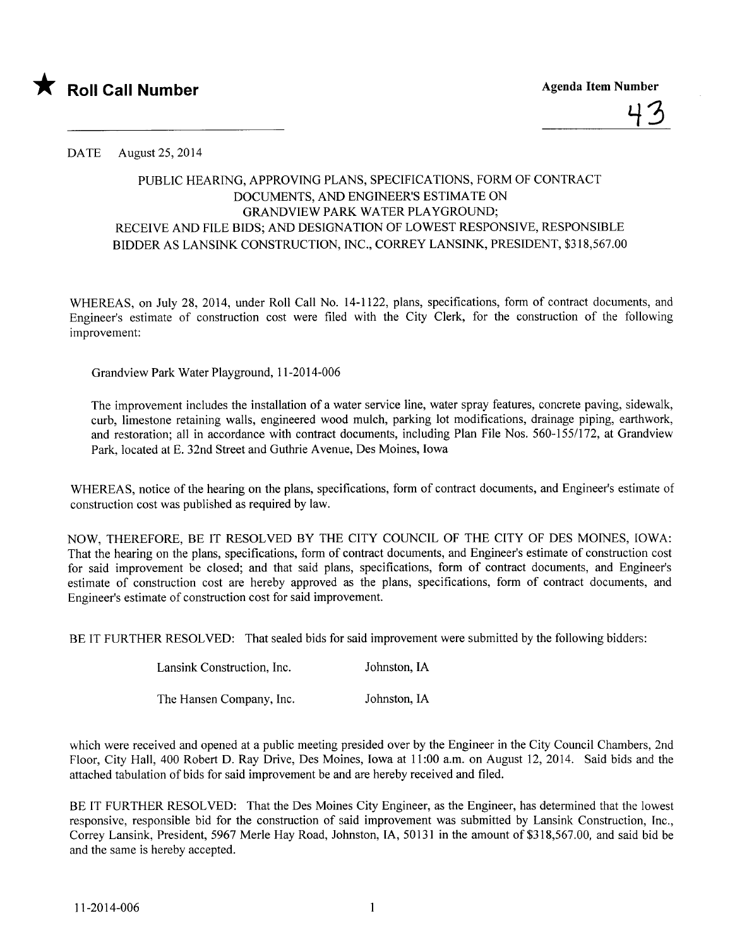

DATE August 25, 2014

## PUBLIC HEARING, APPROVING PLANS, SPECIFICATIONS, FORM OF CONTRACT DOCUMENTS, AND ENGINEER'S ESTIMATE ON GRANDVIEW PARK WATER PLAYGROUND; RECEIVE AND FILE BIDS; AND DESIGNATION OF LOWEST RESPONSIVE, RESPONSIBLE BIDDER AS LANSINK CONSTRUCTION, INC., CORREY LANSINK, PRESIDENT, \$318,567.00

WHEREAS, on July 28, 2014, under Roll Call No. 14-1122, plans, specifications, form of contract documents, and Engineer's estimate of construction cost were fied with the City Clerk, for the construction of the following improvement:

Grandview Park Water Playground, 11-2014-006

The improvement includes the installation of a water service line, water spray features, concrete paving, sidewalk, curb, limestone retaining walls, engineered wood mulch, parking lot modifications, drainage piping, earthwork, and restoration; all in accordance with contract documents, including Plan File Nos. 560-155/172, at Grandview Park, located at E. 32nd Street and Guthrie A venue, Des Moines, Iowa

WHEREAS, notice of the hearing on the plans, specifications, form of contract documents, and Engineer's estimate of construction cost was published as required by law.

NOW, THEREFORE, BE IT RESOLVED BY THE CITY COUNCIL OF THE CITY OF DES MOINES, IOWA: That the hearing on the plans, specifications, form of contract documents, and Engineer's estimate of construction cost for said improvement be closed; and that said plans, specifications, form of contract documents, and Engineer's estimate of construction cost are hereby approved as the plans, specifications, form of contract documents, and Engineer's estimate of construction cost for said improvement.

BE IT FURTHER RESOLVED: That sealed bids for said improvement were submitted by the following bidders:

Lansink Construction, Inc. Johnston,IA

The Hansen Company, Inc. Johnston, IA

which were received and opened at a public meeting presided over by the Engineer in the City Council Chambers, 2nd Floor, City Hall, 400 Robert D. Ray Drive, Des Moines, Iowa at 11:00 a.m. on August 12, 2014. Said bids and the attached tabulation of bids for said improvement be and are hereby received and fied.

BE IT FURTHER RESOLVED: That the Des Moines City Engineer, as the Engineer, has determined that the lowest responsive, responsible bid for the construction of said improvement was submitted by Lansink Construction, Inc., Correy Lansink, President, 5967 Merle Hay Road, Johnston, IA, 50131 in the amount of \$318,567.00, and said bid be and the same is hereby accepted.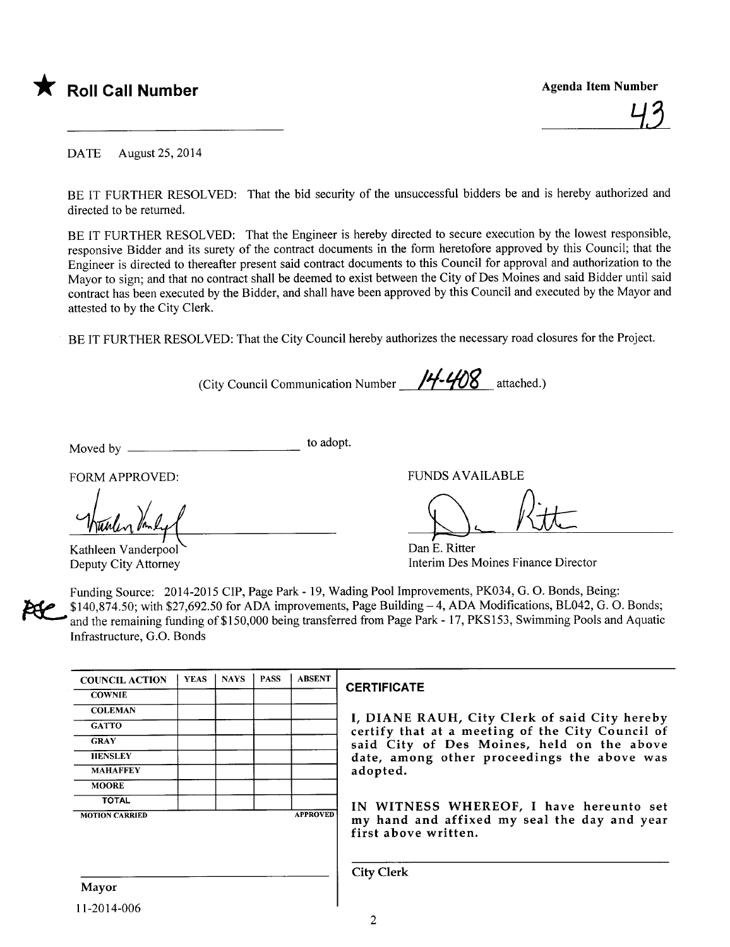

DATE August 25, 2014

BE IT FURTHER RESOLVED: That the bid security of the unsuccessful bidders be and is hereby authorized and directed to be returned.

BE IT FURTHER RESOLVED: That the Engineer is hereby directed to secure execution by the lowest responsible, responsive Bidder and its surety of the contract documents in the form heretofore approved by this Council; that the Engineer is directed to thereafter present said contract documents to this Council for approval and authorization to the Mayor to sign; and that no contract shall be deemed to exist between the City of Des Moines and said Bidder until said contract has been executed by the Bidder, and shall have been approved by this Council and executed by the Mayor and attested to by the City Clerk.

BE IT FURTHER RESOLVED: That the City Council hereby authorizes the necessary road closures for the Project.

(City Council Communication Number  $/4/408$  attached.)

Moved by to adopt.

FORM APPROVED:

hunder the VED.

Kathleen Vanderpool Deputy City Attorney

FUNDS AVAILABLE

D-Ritt

Dan E. Ritter Interim Des Moines Finance Director

Funding Source: 2014-2015 CIP, Page Park - 19, Wading Pool Improvements, PK034, G. O. Bonds, Being:  $$140,874.50$ ; with \$27,692.50 for ADA improvements, Page Building  $-4$ , ADA Modifications, BL042, G. O. Bonds; and the remaining funding of\$150,000 being transferred from Page Park - 17, PKS153, Swimming Pools and Aquatic Infrastructure, G.O. Bonds

| <b>COUNCIL ACTION</b> | <b>YEAS</b> | <b>NAYS</b> | <b>PASS</b> | <b>ABSENT</b>   |
|-----------------------|-------------|-------------|-------------|-----------------|
| <b>COWNIE</b>         |             |             |             |                 |
| <b>COLEMAN</b>        |             |             |             |                 |
| <b>GATTO</b>          |             |             |             |                 |
| <b>GRAY</b>           |             |             |             |                 |
| <b>HENSLEY</b>        |             |             |             |                 |
| <b>MAHAFFEY</b>       |             |             |             |                 |
| <b>MOORE</b>          |             |             |             |                 |
| <b>TOTAL</b>          |             |             |             |                 |
| <b>MOTION CARRIED</b> |             |             |             | <b>APPROVED</b> |

## **CERTIFICATE**

I, DIANE RAUH, City Clerk of said City hereby certify that at a meeting of the City Council of said City of Des Moines, held on the above date, among other proceedings the above was adopted.

IN WITNESS WHEREOF, I have hereunto set my hand and affixed my seal the day and year first above written.

City Clerk